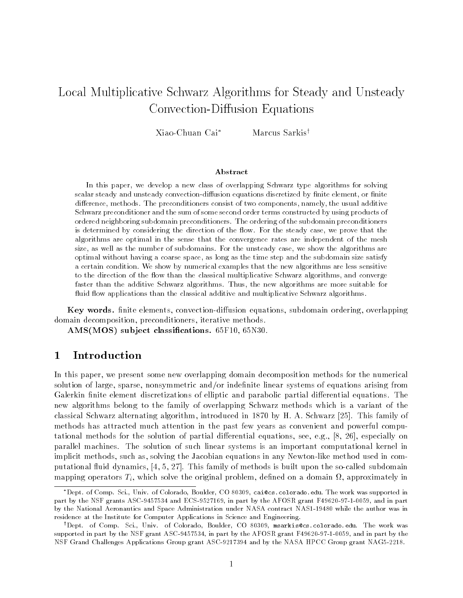# Local Multiplicative Schwarz Algorithms for Steady and Unsteady Convection-Diffusion Equations

Xiao-Chuan Cai<sup>\*</sup> Marcus Sarkis<sup>†</sup>

# Abstract

In this paper, we develop a new class of overlapping Schwarz type algorithms for solving scalar steady and unsteady convection-dimision equations discretized by nitle element. Or nitle difference, methods. The preconditioners consist of two components, namely, the usual additive Schwarz preconditioner and the sum of some second order terms constructed by using products ofordered neighboring subdomain preconditioners The ordering of the subdomain preconditionersis determined by considering the direction of the flow. For the steady case, we prove that the algorithms are optimal in the sense that the convergence rates are independent of the meshsize, as well as the number of subdomains. For the unsteady case, we show the algorithms are optimal without having a coarse space as long as the time step and the subdomain size satisfya certain condition. We show by numerical examples that the new algorithms are less sensitive to the direction of the flow than the classical multiplicative Schwarz algorithms, and converge faster than the additive Schwarz algorithms. Thus, the new algorithms are more suitable for fluid flow applications than the classical additive and multiplicative Schwarz algorithms.

Key words nite elements convection-diusion equations subdomain ordering overlapping domain decomposition, preconditioners, iterative methods.

AMSMOS- sub ject classications F N 

## $\mathbf 1$ Introduction

In this paper, we present some new overlapping domain decomposition methods for the numerical solution of large sparse nonsymmetric and or indenite linear systems of equations arising from Galerkin finite element discretizations of elliptic and parabolic partial differential equations. The new algorithms belong to the family of overlapping Schwarz methods which is a variant of the classical Schwarz alternating algorithm, introduced in  $1870$  by H. A. Schwarz [25]. This family of methods has attracted much attention in the past few years as convenient and powerful computational methods for the solution of partial differential equations, see, e.g.,  $[8, 26]$ , especially on parallel machines. The solution of such linear systems is an important computational kernel in implicit methods such as solving the Jacobian equations in any Newton-like method used in comput the second comparative  $\mathbf{y}$  ,  $\mathbf{y}$  ,  $\mathbf{y}$  , and the so-called subdomaint upon the so-called subdomaintent of the so-called subdomaintent of the so-called subdomaintent of the so-called subdomaintent of the mapping operators  $T_i$ , which solve the original problem, defined on a domain  $\Omega$ , approximately in

<sup>-</sup>Dept. of Comp. Sci., Univ. of Colorado, Boulder, CO 80309, cal@cs.colorado.edu. The work was supported in part by the real grants rate as the Mac man and the Lating the AFOS and Afone a real the AFOST data and part o . The National Aeronautics and Space Administration under Nasale Administration was in the author was in residence at the Institute for Computer Applications in Science and Engineering

<sup>&#</sup>x27;Dept of Comp. Sci., Univ. of Colorado, Boulder, CO 80309, msarkis@cs.colorado.edu. The work was supported in part by the NSF grant ASC in part by the AFOSR grant F and in part by the was considered and applications of the Nasa Hotels and all the NASA HPCC grant assembly and all the NASA HPCC G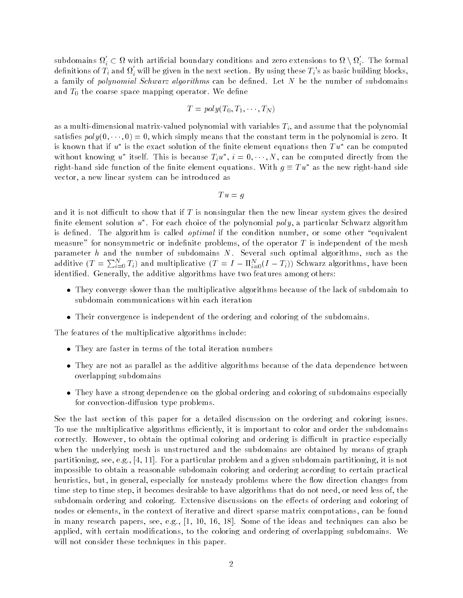subdomains  $\Omega_i'\subset \Omega$  with artificial boundary conditions and zero extensions to  $\Omega\setminus\Omega_i'$ . The formal definitions of  $T_i$  and  $\Omega_i$  will be given in the next section. By using these  $T_i$ 's as basic building blocks, a family of *polynomial Schwarz algorithms* can be defined. Let  $N$  be the number of subdomains and  $T_0$  the coarse space mapping operator. We define

$$
T = poly(T_0, T_1, \cdots, T_N)
$$

va a multi-allianti-dimensional valued polynomial with valued by the assume that the polynomial satisfies  $poly(0, \dots, 0) = 0$ , which simply means that the constant term in the polynomial is zero. It is known that if  $u$  is the exact solution of the finite element equations then  $I\,u$  -can be computed  $\,$ without knowing u tiself. This is because  $T_i u$  ,  $i = 0, \cdots, N$ , can be computed directly from the right-hand side function of the finite element equations. With  $q \equiv 1 \, u^-$  as the new right-hand side vector, a new linear system can be introduced as

$$
Tu = g
$$

and it is not difficult to show that if T is nonsingular then the new linear system gives the desired  $\lim$ ie element solution  $u$  . For each choice of the polynomial  $\mathit{pow}$ , a particular Schwarz algorithm is defined. The algorithm is called *optimal* if the condition number, or some other "equivalent measure" for nonsymmetric or indefinite problems, of the operator  $T$  is independent of the mesh parameter  $h$  and the number of subdomains  $N$ . Several such optimal algorithms, such as the additive  $(T = \sum_{i=0}^N T_i)$  and multiplicative  $(T = I - \Pi_{i=0}^N (I - T_i))$  Schwarz algorithms, have been identified. Generally, the additive algorithms have two features among others

- $\bullet$  -finey converge slower than the multiplicative algorithms because of the lack of subdomain to  $\bullet$ subdomain communications within each iteration
- $\bullet$  -fineir convergence is independent of the ordering and coloring of the subdomains.

The features of the multiplicative algorithms include

- $\bullet$  They are faster in terms of the total iteration numbers
- $\bullet$  They are not as parallel as the additive algorithms because of the data dependence between overlapping subdomains
- $\bullet$  They have a strong dependence on the global ordering and coloring of subdomains especially  $\bullet$ for convection-diusion type problems

See the last section of this paper for a detailed discussion on the ordering and coloring issues To use the multiplicative algorithms efficiently, it is important to color and order the subdomains correctly. However, to obtain the optimal coloring and ordering is difficult in practice especially when the underlying mesh is unstructured and the subdomains are obtained by means of graph partitioning, see, e.g.,  $[4, 11]$ . For a particular problem and a given subdomain partitioning, it is not impossible to obtain a reasonable subdomain coloring and ordering according to certain practical heuristics, but, in general, especially for unsteady problems where the flow direction changes from time step to time step, it becomes desirable to have algorithms that do not need, or need less of, the subdomain ordering and coloring. Extensive discussions on the effects of ordering and coloring of nodes or elements, in the context of iterative and direct sparse matrix computations, can be found in many research papers see eg 
 Some of the ideas and techniques can also be applied, with certain modifications, to the coloring and ordering of overlapping subdomains. We will not consider these techniques in this paper.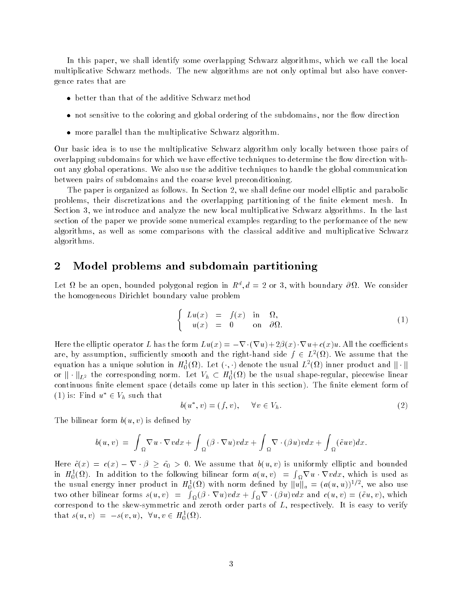In this paper, we shall identify some overlapping Schwarz algorithms, which we call the local multiplicative Schwarz methods. The new algorithms are not only optimal but also have convergence rates that are

- $\bullet$  better than that of the additive Schwarz method
- $\bullet$  not sensitive to the coloring and global ordering of the subdomains, nor the now direction
- $\bullet$  more parallel than the multiplicative Schwarz algorithm.

Our basic idea is to use the multiplicative Schwarz algorithm only locally between those pairs of overlapping subdomains for which we have effective techniques to determine the flow direction without any global operations We also use the additive techniques to handle the global communication between pairs of subdomains and the coarse level preconditioning

The paper is organized as follows. In Section 2, we shall define our model elliptic and parabolic problems, their discretizations and the overlapping partitioning of the finite element mesh. In Section 3, we introduce and analyze the new local multiplicative Schwarz algorithms. In the last section of the paper we provide some numerical examples regarding to the performance of the new algorithms, as well as some comparisons with the classical additive and multiplicative Schwarz algorithms

# $\boldsymbol{2}$ Model problems and subdomain partitioning

Let  $u$  be an open, bounded polygonal region in  $R^+, u = Z$  or 5, with boundary  $\sigma u$ . We consider the homogeneous Dirichlet boundary value problem

$$
\begin{cases}\nLu(x) = f(x) & \text{in } \Omega, \\
u(x) = 0 & \text{on } \partial\Omega.\n\end{cases}
$$
\n(1)

Here the elliptic operator L has the form  $Lu(x) = -\nabla \cdot (\nabla u) + 2\beta(x) \cdot \nabla u + c(x)u$ . All the coefficients are, by assumption, sufficiently smooth and the right-hand side  $f \in L^2(\Omega)$ . We assume that the equation has a unique solution in  $H^1_0(\Omega)$ . Let  $(\cdot,\cdot)$  denote the usual  $L^2(\Omega)$  inner product and  $\|\cdot\|$ or  $\|\cdot\|_{L^2}$  the corresponding norm. Let  $V_h\,\subset\, H^1_0(\Omega)$  be the usual shape-regular, piecewise linear continuous finite element space (details come up later in this section). The finite element form of (1) is: Find  $u^* \in V_h$  such that

$$
b(u^*, v) = (f, v), \quad \forall v \in V_h.
$$
\n
$$
(2)
$$

The bilinear form  $b(u, v)$  is defined by

$$
b(u,v) = \int_{\Omega} \nabla u \cdot \nabla v dx + \int_{\Omega} (\beta \cdot \nabla u) v dx + \int_{\Omega} \nabla \cdot (\beta u) v dx + \int_{\Omega} (\tilde{c}uv) dx.
$$

Here  $\tilde{c}(x) = c(x) - \nabla \cdot \beta \geq \tilde{c}_0 > 0$ . We assume that  $b(u, v)$  is uniformly elliptic and bounded in  $H_0^1(\Omega)$ . In addition to the following bilinear form  $a(u, v) = \int_{\Omega} \nabla u \cdot \nabla v dx$ , which is used as the usual energy inner product in  $H_0^1(\Omega)$  with norm defined by  $\|u\|_a = (a(u,u))^{1/2}$ , we also use two other bilinear forms  $s(u, v) = \int_{\Omega} (\beta \cdot \nabla u) v dx + \int_{\Omega} \nabla \cdot (\beta u) v dx$  and  $c(u, v) = (\tilde{c}u, v)$ , which corresponds to the sheet simulation of and device to and parts of Lespectively It is easy to terminal the second that  $s(u, v) = -s(v, u), \ \forall u, v \in H_0^1(\Omega)$ .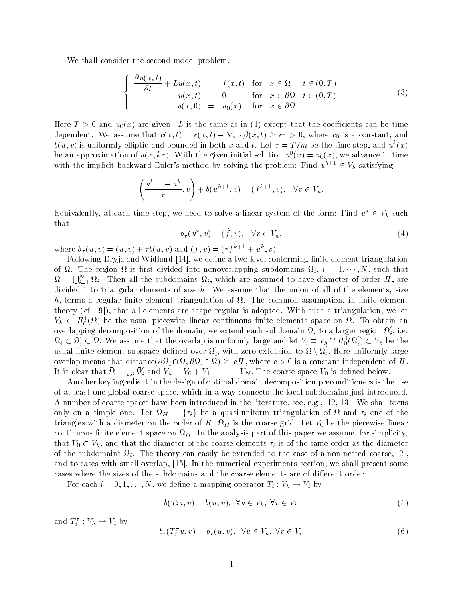We shall consider the second model problem.

$$
\begin{cases}\n\frac{\partial u(x,t)}{\partial t} + Lu(x,t) = f(x,t) & \text{for } x \in \Omega \quad t \in (0,T) \\
u(x,t) = 0 & \text{for } x \in \partial\Omega \quad t \in (0,T) \\
u(x,0) = u_0(x) & \text{for } x \in \partial\Omega\n\end{cases}
$$
\n(3)

Here  $T > 0$  and  $u_0(x)$  are given. L is the same as in (1) except that the coefficients can be time dependent. We assume that  $\tilde{c}(x, t) = c(x, t) - \nabla_x \cdot \beta(x, t) \geq \tilde{c}_0 > 0$ , where  $\tilde{c}_0$  is a constant, and  $b(u, v)$  is uniformly emptic and bounded in both x and  $\iota$ . Let  $\tau = 1/m$  be the time step, and  $u^*(x)$ be an approximation of  $u(x, \kappa)$ . With the given initial solution  $u(x) = u_0(x)$ , we advance in time with the implicit backward Euler's method by solving the problem: Find  $u^{k+1} \in V_h$  satisfying

$$
\left(\frac{u^{k+1}-u^k}{\tau},v\right)+b(u^{k+1},v)=(f^{k+1},v),\quad\forall v\in V_h.
$$

Equivalently, at each time step, we need to solve a linear system of the form: Find  $u^* \in V_h$  such that

$$
b_{\tau}(u^*, v) = (\tilde{f}, v), \quad \forall v \in V_h,
$$
\n
$$
(4)
$$

where  $v_{\tau}(u, v) = (u, v) + \tau v(u, v)$  and  $(f, v) = (\tau f^{(v)})^2 + u^{(v)}, v$ .

Following Dryja and Widlund 
 we dene a two-level conforming nite element triangulation of  $\Omega$ . The region  $\Omega$  is first divided into nonoverlapping subdomains  $\Omega_i$ ,  $i = 1, \dots, N$ , such that  $\Omega = \bigcup_{i=1}^N \Omega_i$ . Then all the subdomains  $\Omega_i$ , which are assumed to have diameter of order H, are divided into triangular elements of size  $h$ . We assume that the union of all of the elements, size h, forms a regular finite element triangulation of  $\Omega$ . The common assumption, in finite element theory (cf. [9]), that all elements are shape regular is adopted. With such a triangulation, we let  $V_h \,\subset\, H^{\,}_0(\Omega)$  be the usual piecewise linear continuous finite elements space on  $\Omega$ . To obtain an overlapping decomposition of the domain, we extend each subdomain  $\Omega_i$  to a larger region  $\Omega_i,$  i.e.  $\Omega_i\subset\Omega_i\subset\Omega$ . We assume that the overlap is uniformly large and let  $V_i\equiv V_h\bigcap H^1_0(\Omega_i)\subset V_h$  be the usual finite element subspace defined over  $\Omega_i',$  with zero extension to  $\Omega\setminus\Omega_i'.$  Here uniformly large overlap means that distance $(\partial\Omega_i\cap\Omega,\partial\Omega_i\cap\Omega)\geq\ cH$  , where  $c>0$  is a constant independent of  $H$  . It is clear that  $\Omega = \bigcup_i \Omega_i$  and  $V_h = V_0 + V_1 + \cdots + V_N$ . The coarse space  $V_0$  is defined below.

Another key ingredient in the design of optimal domain decomposition preconditioners is the use of at least one global coarse space, which in a way connects the local subdomains just introduced. A number of coarse spaces have been introduced in the literature, see, e.g., [12, 13]. We shall focus only on a simple one. Let  $\Omega_H$  =  $\{\tau_i\}$  be a quasi-uniform triangulation of  $\Omega$  and  $\tau_i$  one of the triangles with a diameter on the order of H.  $\Omega_H$  is the coarse grid. Let  $V_0$  be the piecewise linear continuous finite element space on  $\Omega_H$ . In the analysis part of this paper we assume, for simplicity, that  $V_0 \subset V_h$ , and that the diameter of the coarse elements  $\tau_i$  is of the same order as the diameter of the subdomains i The theory can easily be extended to the case of a non-nested coarse and to cases with small overlap, [15]. In the numerical experiments section, we shall present some cases where the sizes of the subdomains and the coarse elements are of different order.

For each  $i = 0, 1, \ldots, N$ , we define a mapping operator  $T_i : V_h \to V_i$  by

$$
b(T_iu, v) = b(u, v), \quad \forall u \in V_h, \ \forall v \in V_i
$$
\n
$$
(5)
$$

and  $I_i : V_h \to V_i$  by

$$
b_{\tau}(T_i^{\tau}u, v) = b_{\tau}(u, v), \quad \forall u \in V_h, \ \forall v \in V_i
$$
\n
$$
(6)
$$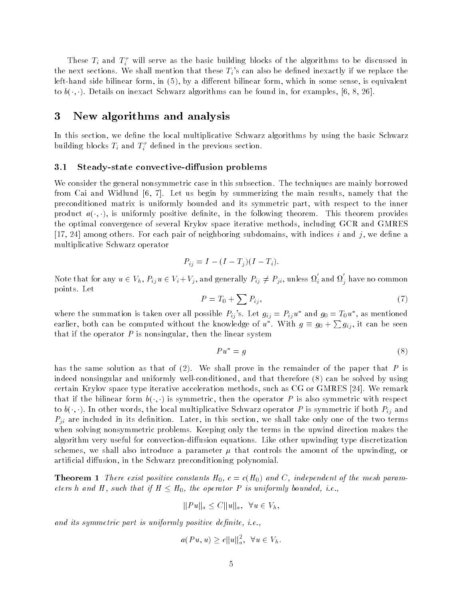These  $T_i$  and  $T_i$  will serve as the basic building blocks of the algorithms to be discussed in the next sections. We shall mention that these  $T_i$ 's can also be defined inexactly if we replace the left-bilinear form in by a dierent bilinear form in some sense is entered in some sense is equivalent in some to  $b(\cdot, \cdot)$ . Details on inexact Schwarz algorithms can be found in, for examples, [6, 8, 26].

### -New algorithms and analysis

In this section, we define the local multiplicative Schwarz algorithms by using the basic Schwarz building blocks  $I_i$  and  $I_i$  defined in the previous section.

#### $3.1$ Steady-state convective-diffusion problems

We consider the general nonsymmetric case in this subsection. The techniques are mainly borrowed from Cai and Widlund  $[6, 7]$ . Let us begin by summerizing the main results, namely that the preconditioned matrix is uniformly bounded and its symmetric part, with respect to the inner product  $a(\cdot, \cdot)$ , is uniformly positive definite, in the following theorem. This theorem provides the optimal convergence of several Krylov space iterative methods including GCR and GMRES [17, 24] among others. For each pair of neighboring subdomains, with indices i and j, we define a multiplicative Schwarz operator

$$
P_{ij} = I - (I - T_j)(I - T_i).
$$

Note that for any  $u \in V_h$ ,  $P_{ij}u \in V_i + V_j$ , and generally  $P_{ij} \neq P_{ji}$ , unless  $\Omega'_i$  and  $\Omega'_j$  have no common points. Let

$$
P = T_0 + \sum P_{ij},\tag{7}
$$

where the summation is taken over an possible  $F_{ij}$  s. Let  $g_{ij} = F_{ij} u$  and  $g_0 = \pm 0 u$  , as mentioned earlier, both can be computed without the knowledge of  $u^*$ . With  $g \equiv g_0 + \sum g_{ij}$ , it can be seen that if the operator  $P$  is nonsingular, then the linear system

$$
Pu^* = g \tag{8}
$$

has the same solution as that of  $(2)$ . We shall prove in the remainder of the paper that P is indeed nonsingular and uniformly well-defined and that therefore can be solved by using  $\mathcal{C}(\mathcal{A})$ certain Krylov space type iterative acceleration methods, such as  $CG$  or  $GMRES$  [24]. We remark that if the bilinear form  $b(\cdot, \cdot)$  is symmetric, then the operator P is also symmetric with respect to  $b(\cdot, \cdot)$ . In other words, the local multiplicative Schwarz operator P is symmetric if both  $P_{ij}$  and  $P_{ii}$  are included in its definition. Later, in this section, we shall take only one of the two terms when solving nonsymmetric problems. Keeping only the terms in the upwind direction makes the algorithm very useful for convection-diusion equations Like other upwinding type discretization schemes, we shall also introduce a parameter  $\mu$  that controls the amount of the upwinding, or artificial diffusion, in the Schwarz preconditioning polynomial.

**Theorem 1** There exist positive constants  $H_0$ ,  $c = c(H_0)$  and C, independent of the mesh parameters h and H, such that if  $H \leq H_0$ , the operator P is uniformly bounded, i.e.,

$$
||Pu||_a \leq C||u||_a, \ \ \forall u \in V_h,
$$

and its symmetric part is uniformly positive and protect  $\mathcal{L}$ 

$$
a(Pu, u) \ge c ||u||_a^2, \ \ \forall u \in V_h.
$$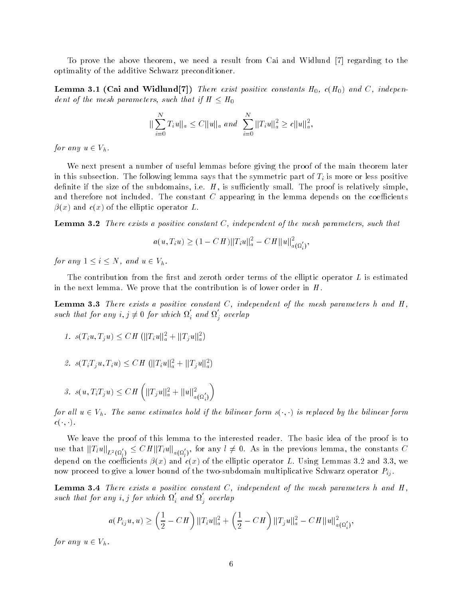To prove the above theorem, we need a result from Cai and Widlund [7] regarding to the optimality of the additive Schwarz preconditioner

 $\blacksquare$  constants which will constant  $\lceil \cdot \rceil$   $\lceil \cdot \rceil$  and C independent constants  $\lceil \cdot \rceil$  and  $\lceil \cdot \rceil$  and  $\lceil \cdot \rceil$ dent of the mesh parameters, such that if  $H \leq H_0$ 

$$
\|\sum_{i=0}^N T_i u\|_a \le C \|u\|_a \text{ and } \sum_{i=0}^N \|T_i u\|_a^2 \ge c \|u\|_a^2,
$$
  
for any  $u \in V_h$ .

We next present a number of useful lemmas before giving the proof of the main theorem later in this subsection. The following lemma says that the symmetric part of  $T_i$  is more or less positive definite if the size of the subdomains, i.e.  $H$ , is sufficiently small. The proof is relatively simple. and therefore not included. The constant  $C$  appearing in the lemma depends on the coefficients  $\beta(x)$  and  $c(x)$  of the elliptic operator L.

**Lemma 3.2** There exists a positive constant  $C$ , independent of the mesh parameters, such that

$$
a(u, T_i u) \ge (1 - CH) ||T_i u||_a^2 - CH ||u||_{a(\Omega_i')}^2,
$$

for any  $1 \leq i \leq N$ , and  $u \in V_h$ .

The contribution from the first and zeroth order terms of the elliptic operator  $L$  is estimated in the next lemma. We prove that the contribution is of lower order in  $H$ .

**Lemma 3.3** There exists a positive constant  $C$ , independent of the mesh parameters h and  $H$ , such that for any  $i, j \neq 0$  for which  $\Omega_i$  and  $\Omega_j$  overlap

1. 
$$
s(T_iu, T_ju) \leq CH \left( ||T_iu||_a^2 + ||T_ju||_a^2 \right)
$$

2. 
$$
s(T_i T_j u, T_i u) \leq C H \left( ||T_i u||_a^2 + ||T_j u||_a^2 \right)
$$

$$
\text{3. } s(u,T_iT_ju) \leq CH\left( \|T_ju\|_a^2 + \|u\|_{a(\Omega_i')}^2 \right)
$$

for all  $u \in V_h$ . The same estimates hold if the bilinear form s( , ) is replaced by the bilinear form  $c(\cdot, \cdot).$ 

We leave the proof of this lemma to the interested reader. The basic idea of the proof is to use that  $\|T_lu\|_{L^2(\Omega_l')}\leq C H\|T_lu\|_{a(\Omega_l')},$  for any  $l\neq 0.$  As in the previous lemma, the constants  $C$ depend on the coefficients  $\beta(x)$  and  $c(x)$  of the elliptic operator L. Using Lemmas 3.2 and 3.3, we now proceed to give a lower bound of the two-subdomain multiplicative Schwarz operator Pij

**Lemma of a** photo calcus a positive constant C i that pendent of the mesh parameters it and **H** such that for any i, j for which  $\Omega_i$  and  $\Omega_j$  overlap

$$
a(P_{ij}u, u) \ge \left(\frac{1}{2} - CH\right) ||T_iu||_a^2 + \left(\frac{1}{2} - CH\right) ||T_ju||_a^2 - CH ||u||_{a(\Omega_i')}^2,
$$

for any  $u \in V_h$ .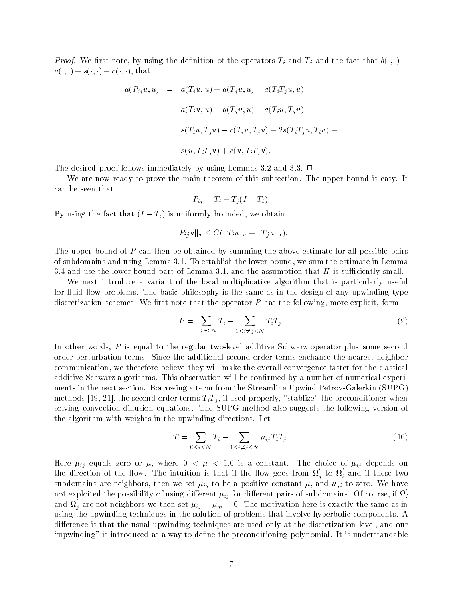Froof- We first note, by using the definition of the operators  $T_i$  and  $T_j$  and the fact that  $v(\cdot, \cdot) =$  $a(\cdot, \cdot) + s(\cdot, \cdot) + c(\cdot, \cdot)$ , that

$$
a(P_{ij}u, u) = a(T_{i}u, u) + a(T_{j}u, u) - a(T_{i}T_{j}u, u)
$$
  
=  $a(T_{i}u, u) + a(T_{j}u, u) - a(T_{i}u, T_{j}u) +$   
 $s(T_{i}u, T_{j}u) - c(T_{i}u, T_{j}u) + 2s(T_{i}T_{j}u, T_{i}u) +$   
 $s(u, T_{i}T_{j}u) + c(u, T_{i}T_{j}u).$ 

The desired proof follows immediately by using Lemmas 3.2 and 3.3.  $\Box$ 

We are now ready to prove the main theorem of this subsection. The upper bound is easy. It can be seen that

$$
P_{ij} = T_i + T_j(I - T_i).
$$

By using the fact that  $(I - T_i)$  is uniformly bounded, we obtain

$$
||P_{ij}u||_a \leq C(||T_iu||_a + ||T_ju||_a).
$$

The upper bound of  $P$  can then be obtained by summing the above estimate for all possible pairs of subdomains and using Lemma 3.1. To establish the lower bound, we sum the estimate in Lemma 3.4 and use the lower bound part of Lemma 3.1, and the assumption that  $H$  is sufficiently small.

We next introduce a variant of the local multiplicative algorithm that is particularly useful for fluid flow problems. The basic philosophy is the same as in the design of any upwinding type discretization schemes. We first note that the operator  $P$  has the following, more explicit, form

$$
P = \sum_{0 \le i \le N} T_i - \sum_{1 \le i \ne j \le N} T_i T_j.
$$
\n(9)

In other words, I is equal to the regular two-fort addition securities operator prose some second order perturbation terms. Since the additional second order terms enchance the nearest neighbor communication, we therefore believe they will make the overall convergence faster for the classical additive Schwarz algorithms. This observation will be confirmed by a number of numerical experiments in the next section Borrowing a term from the Streamline Upwind Petrov- $\Gamma$ methods [19, 21], the second order terms  $T_iT_j$ , if used properly, "stablize" the preconditioner when solving convection-diusion equations The SUPG method also suggests the following version of the algorithm with weights in the upwinding directions Let

$$
T = \sum_{0 \le i \le N} T_i - \sum_{1 \le i \ne j \le N} \mu_{ij} T_i T_j. \tag{10}
$$

Here ij equals zero or where - is a constant The choice of ij depends on the direction of the flow. The intuition is that if the flow goes from  $\Omega_i$  to  $\Omega_i$  and if these two subdomains are neighbors, then we set  $\mu_{ij}$  to be a positive constant  $\mu$ , and  $\mu_{ji}$  to zero. We have not exploited the possibility of using different  $\mu_{ij}$  for different pairs of subdomains. Of course, if  $\Omega_i$ and  $\Omega_i$  are not neighbors we then set  $\mu_{ij} = \mu_{ji} = 0$ . The motivation here is exactly the same as in using the upwinding techniques in the solution of problems that involve hyperbolic components A difference is that the usual upwinding techniques are used only at the discretization level, and our "upwinding" is introduced as a way to define the preconditioning polynomial. It is understandable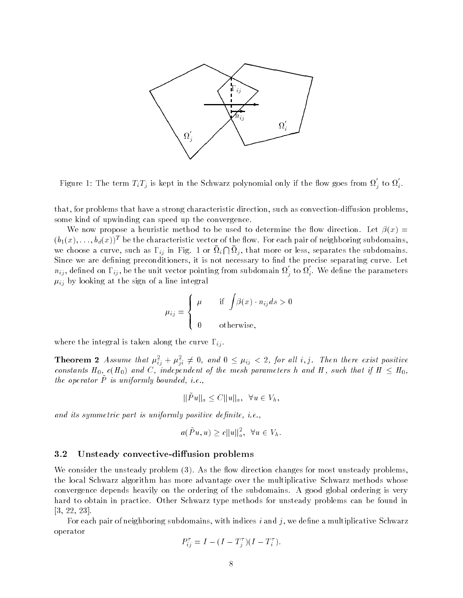

Figure 1: The term  $T_iT_j$  is kept in the Schwarz polynomial only if the flow goes from  $\Omega_j$  to  $\Omega_i$ .

that for problems that have a strong characteristic direction such as convection-diusion problems some kind of upwinding can speed up the convergence

We now propose a heuristic method to be used to determine the flow direction. Let  $\beta(x)$  $(v_1(x),\ldots,v_d(x))$  be the characteristic vector of the how. For each pair of neighboring subdomains, we choose a curve, such as  $\Gamma_{ij}$  in Fig. 1 or  $\Omega_i \cap \Omega_j$ , that more or less, separates the subdomains. Since we are defining preconditioners, it is not necessary to find the precise separating curve. Let  $n_{ij}$ , defined on  $\Gamma_{ij}$ , be the unit vector pointing from subdomain  $\Omega_j$  to  $\Omega_i$ . We define the parameters  $\mu_{ij}$  by looking at the sign of a line integral

$$
\mu_{ij} = \begin{cases} \mu & \text{if } \int \beta(x) \cdot n_{ij} ds > 0 \\ 0 & \text{otherwise,} \end{cases}
$$

where the integral is taken along the curve  $\Gamma_{ij}$ .

**Theorem 2** Assume that  $\mu_{ij}^2 + \mu_{ji}^2 \neq 0$ , and  $0 \leq \mu_{ij} < 2$ , for all i, j. Then there exist positive constants  $H_0$ ,  $c(H_0)$  and C, independent of the mesh parameters h and H, such that if  $H \leq H_0$ , the operator **P** is uniforming bounded, i.e.,

$$
\|\tilde{P}u\|_a \leq C \|u\|_a, \ \ \forall u \in V_h,
$$

and its symmetric part is uniformly positive denite in the symmetric part is uniformly positive denite in the s

$$
a(\tilde{P}u, u) \ge c ||u||_a^2, \ \ \forall u \in V_h.
$$

# 3.2 Unsteady convective-diffusion problems

We consider the unsteady problem  $(3)$ . As the flow direction changes for most unsteady problems. the local Schwarz algorithm has more advantage over the multiplicative Schwarz methods whose convergence depends heavily on the ordering of the subdomains A good global ordering is very hard to obtain in practice. Other Schwarz type methods for unsteady problems can be found in  $[3, 22, 23].$ 

For each pair of neighboring subdomains, with indices  $i$  and  $j$ , we define a multiplicative Schwarz operator

$$
P_{ij}^{\tau} = I - (I - T_j^{\tau})(I - T_i^{\tau}).
$$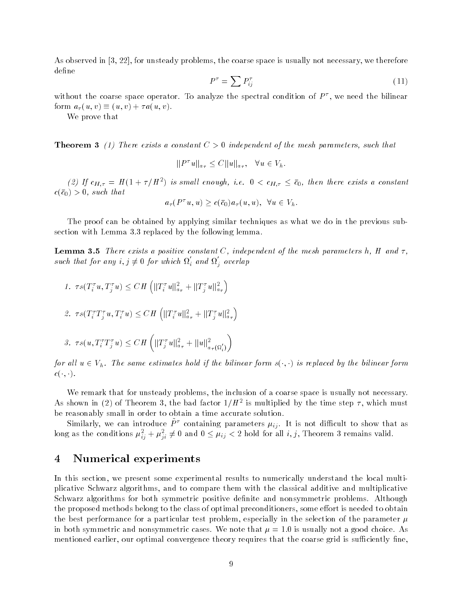As observed in  $[3, 22]$ , for unsteady problems, the coarse space is usually not necessary, we therefore define

$$
P^{\tau} = \sum P_{ij}^{\tau} \tag{11}
$$

without the coarse space operator. To analyze the spectral condition of  $P$  , we need the bilinear form  $a_{\tau}(u, v) \equiv (u, v) + \tau a(u, v)$ .

We prove that

**Theorem 3** (1) There exists a constant  $C > 0$  independent of the mesh parameters, such that

$$
||P^{\tau}u||_{a_{\tau}} \leq C||u||_{a_{\tau}}, \quad \forall u \in V_h.
$$

(2) If  $c_{H,\tau} = H(1+\tau/H^2)$  is small enough, i.e.  $0 < c_{H,\tau} \leq \bar{c}_0$ , then there exists a constant  $c(\bar{c}_0) > 0$ , such that

$$
a_{\tau}(P^{\tau}u, u) \geq c(\bar{c}_0) a_{\tau}(u, u), \ \ \forall u \in V_h.
$$

The proof can be obtained by applying similar techniques as what we do in the previous subsection with Lemma  $3.3$  replaced by the following lemma.

**Lemma 3.5** There exists a positive constant C, independent of the mesh parameters h, H and  $\tau$ , such that for any  $i, j \neq 0$  for which  $\Omega_i$  and  $\Omega_j$  overlap

1. 
$$
\tau s(T_i^{\tau} u, T_j^{\tau} u) \leq C H \left( ||T_i^{\tau} u||_{a_{\tau}}^2 + ||T_j^{\tau} u||_{a_{\tau}}^2 \right)
$$
  
\n2.  $\tau s(T_i^{\tau} T_j^{\tau} u, T_i^{\tau} u) \leq C H \left( ||T_i^{\tau} u||_{a_{\tau}}^2 + ||T_j^{\tau} u||_{a_{\tau}}^2 \right)$   
\n3.  $\tau s(u, T_i^{\tau} T_j^{\tau} u) \leq C H \left( ||T_j^{\tau} u||_{a_{\tau}}^2 + ||u||_{a_{\tau}(\Omega_i')}^2 \right)$ 

for all  $u \in V_h$ . The same estimates hold if the bilinear form  $s(\cdot, \cdot)$  is replaced by the bilinear form  $c(\cdot, \cdot).$ 

We remark that for unsteady problems, the inclusion of a coarse space is usually not necessary. As shown in (2) of 1 neorem 3, the bad factor  $1/H^-$  is multiplied by the time step  $\tau$ , which must be reasonably small in order to obtain a time accurate solution

Similarly, we can introduce  $\tilde{P}^{\tau}$  containing parameters  $\mu_{ij}$ . It is not difficult to show that as long as the conditions  $\mu_{ii}^2 + \mu_{ii}^2 \neq 0$  and  $0 \leq \mu_{ij} < 2$  hold for all  $i,j,$  Theorem 3 remains valid.

### $\overline{4}$ Numerical experiments

In this section, we present some experimental results to numerically understand the local multiplicative Schwarz algorithms and to compare them with the classical additive and multiplicative Schwarz algorithms for both symmetric positive definite and nonsymmetric problems. Although the proposed methods belong to the class of optimal preconditioners, some effort is needed to obtain the best performance for a particular test problem, especially in the selection of the parameter  $\mu$ in both symmetric and nonsymmetric cases We not the same  $\mu$  - is usually not a good choice In mentioned earlier, our optimal convergence theory requires that the coarse grid is sufficiently fine.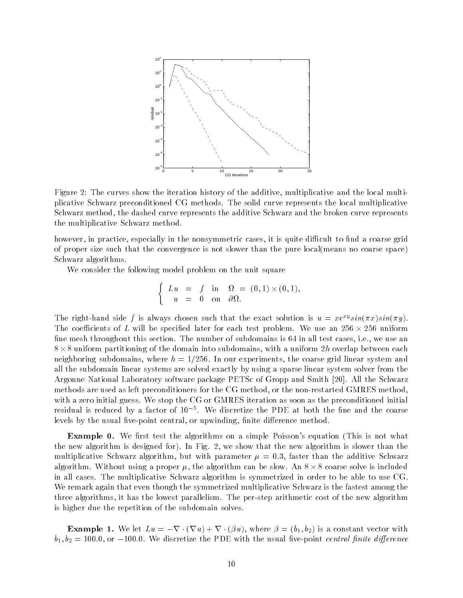

Figure 2: The curves show the iteration history of the additive, multiplicative and the local multiplicative Schwarz preconditioned CG methods The solid curve represents the local multiplicative Schwarz method, the dashed curve represents the additive Schwarz and the broken curve represents the multiplicative Schwarz method

however, in practice, especially in the nonsymmetric cases, it is quite difficult to find a coarse grid of proper size such that the convergence is not slower than the pure local means no coarse space) Schwarz algorithms

We consider the following model problem on the unit square

$$
\begin{cases}\nLu = f \text{ in } \Omega = (0,1) \times (0,1), \\
u = 0 \text{ on } \partial\Omega.\n\end{cases}
$$

The right-hand side f is always chosen such that the exact solution is  $u = xe^{-s} sin(\pi x) sin(\pi y)$ . The coefficients of L will be specified later for each test problem. We use an  $256 \times 256$  uniform fine mesh throughout this section. The number of subdomains is 64 in all test cases, i.e., we use an  $8 \times 8$  uniform partitioning of the domain into subdomains, with a uniform  $2h$  overlap between each neighboring subdomains, where  $h = 1/256$ . In our experiments, the coarse grid linear system and all the subdomain linear systems are solved exactly by using a sparse linear system solver from the Argonne National Laboratory software package PETSc of Gropp and Smith [20]. All the Schwarz rectarted as left preconditioners for the case of the context preconditioners for the non-case and the nonwith a zero initial guess. We stop the CG or GMRES iteration as soon as the preconditioned initial residual is reduced by a factor of We discretize the PDE at both the ne and the coarse levels by the usual ve-point central or upwinding nite dierence method

**Example 0.** We first test the algorithms on a simple Poisson's equation (This is not what the new algorithm is designed for). In Fig. 2, we show that the new algorithm is slower than the multiplicative Schwarz algorithmy sure with parameters by a glob moved than the additive Schwarz and algorithm. Without using a proper  $\mu$ , the algorithm can be slow. An  $8 \times 8$  coarse solve is included in all cases The multiplicative Schwarz algorithm is symmetrized in order to be able to use CG We remark again that even though the symmetrized multiplicative Schwarz is the fastest among the three algorithms it has the lowest parallelism The per-step arithmetic cost of the new algorithm is higher due the repetition of the subdomain solves

**Example 1.** We let  $Lu = -\nabla \cdot (\nabla u) + \nabla \cdot (\beta u)$ , where  $\beta = (b_1, b_2)$  is a constant vector with  $v_1, v_2 = 100.0, 01 - 100.0,$  we discretize the TDE with the usual five-point central finite affective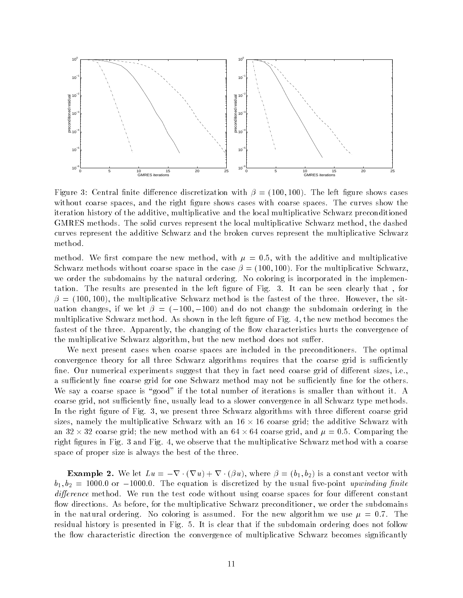

Figure 3: Central finite difference discretization with  $\beta = (100, 100)$ . The left figure shows cases without coarse spaces, and the right figure shows cases with coarse spaces. The curves show the iteration history of the additive, multiplicative and the local multiplicative Schwarz preconditioned GMRES methods. The solid curves represent the local multiplicative Schwarz method, the dashed curves represent the additive Schwarz and the broken curves represent the multiplicative Schwarz method

method with the method with the method with  $\mu$  with  $\mu$  and the additive and multiplicative Schwarz methods without coarse space in the case  $\beta = (100, 100)$ . For the multiplicative Schwarz we order the subdomains by the natural ordering. No coloring is incorporated in the implementation. The results are presented in the left figure of Fig. 3. It can be seen clearly that, for  $t_{\rm c}$  , the multiplicative section is the faster of the faster of the site three However  $\sim$  three However three However three However three However three However three However three However three However three Howeve uation changes, if we let  $\beta = (-100, -100)$  and do not change the subdomain ordering in the multiplicative Schwarz method. As shown in the left figure of Fig. 4, the new method becomes the fastest of the three. Apparently, the changing of the flow characteristics hurts the convergence of the multiplicative Schwarz algorithm, but the new method does not suffer.

We next present cases when coarse spaces are included in the preconditioners. The optimal convergence theory for all three Schwarz algorithms requires that the coarse grid is sufficiently fine. Our numerical experiments suggest that they in fact need coarse grid of different sizes, i.e. a sufficiently fine coarse grid for one Schwarz method may not be sufficiently fine for the others. We say a coarse space is "good" if the total number of iterations is smaller than without it. A coarse grid, not sufficiently fine, usually lead to a slower convergence in all Schwarz type methods. In the right figure of Fig. 3, we present three Schwarz algorithms with three different coarse grid sizes, namely the multiplicative Schwarz with an  $16 \times 16$  coarse grid; the additive Schwarz with an 32  $\times$  32 coarse grid; the new method with an 64  $\times$  64 coarse grid, and  $\mu=$  0.5. Comparing the right figures in Fig. 3 and Fig. 4, we observe that the multiplicative Schwarz method with a coarse space of proper size is always the best of the three

**Example 2.** We let  $Lu = -\nabla \cdot (\nabla u) + \nabla \cdot (\beta u)$ , where  $\beta = (b_1, b_2)$  is a constant vector with  $v_1, v_2 =$  1000.0 or  $-$ 1000.0. The equation is discretized by the usual nve-point upwinding jinite difference method. We run the test code without using coarse spaces for four different constant flow directions. As before, for the multiplicative Schwarz preconditioner, we order the subdomains in the natural ordering the coloring is assumed For the new meganithm we assume the state of the time residual history is presented in Fig. 5. It is clear that if the subdomain ordering does not follow the flow characteristic direction the convergence of multiplicative Schwarz becomes significantly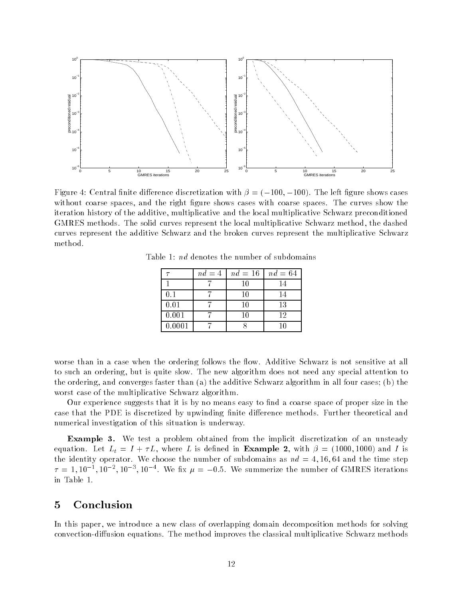

Figure 4: Central finite difference discretization with  $\beta = (-100, -100)$ . The left figure shows cases without coarse spaces, and the right figure shows cases with coarse spaces. The curves show the iteration history of the additive, multiplicative and the local multiplicative Schwarz preconditioned GMRES methods. The solid curves represent the local multiplicative Schwarz method, the dashed curves represent the additive Schwarz and the broken curves represent the multiplicative Schwarz method

|        | $nd = 4$ | $nd = 16$ | $nd = 64$ |
|--------|----------|-----------|-----------|
|        |          | 10        | 14        |
| 0.1    |          | 10        |           |
| 0.01   |          | 10        | 13        |
| 0.001  |          | 10        | 12        |
| 0.0001 |          |           | 10        |

Table 1:  $nd$  denotes the number of subdomains

worse than in a case when the ordering follows the flow. Additive Schwarz is not sensitive at all to such an ordering but is quite slow The new algorithm does not need any special attention to the ordering, and converges faster than (a) the additive Schwarz algorithm in all four cases; (b) the worst case of the multiplicative Schwarz algorithm

Our experience suggests that it is by no means easy to find a coarse space of proper size in the case that the PDE is discretized by upwinding finite difference methods. Further theoretical and numerical investigation of this situation is underway

**Example 3.** We test a problem obtained from the implicit discretization of an unsteady equation. Let  $L_t = I + \tau L$ , where L is defined in **Example 2**, with  $\beta = (1000, 1000)$  and I is the identity operator. We choose the number of subdomains as  $nd = 4, 16, 64$  and the time step  $\mu = 1.10$ ,  $\mu$ ,  $\mu$ ,  $\mu$ ,  $\mu$ , we hx  $\mu = -0.5$ . We summerize the number of GMRES fretations in Table

### $\bf{5}$ Conclusion

In this paper, we introduce a new class of overlapping domain decomposition methods for solving convection-diusion equations The method improves the classical multiplicative Schwarz methods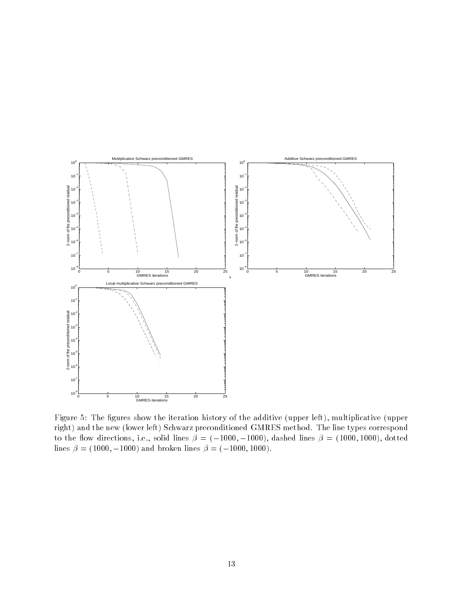

Figure 5: The figures show the iteration history of the additive (upper left), multiplicative (upper right) and the new (lower left) Schwarz preconditioned GMRES method. The line types correspond to the flow directions, i.e., solid lines  $\beta = (-1000, -1000)$ , dashed lines  $\beta = (1000, 1000)$ , dotted lines  $\beta = (1000, -1000)$  and broken lines  $\beta = (-1000, 1000)$ .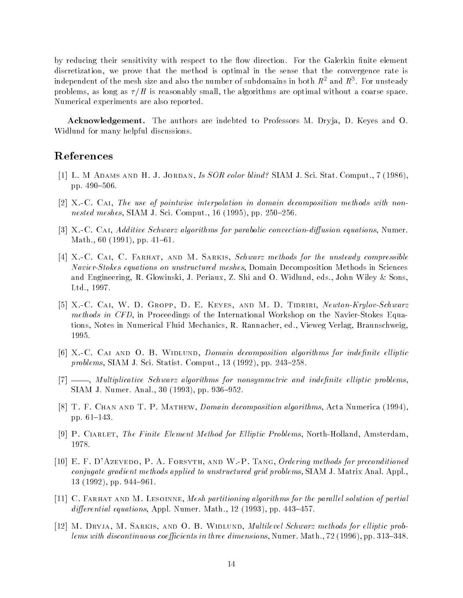by reducing their sensitivity with respect to the flow direction. For the Galerkin finite element discretization, we prove that the method is optimal in the sense that the convergence rate is independent of the mesh size and also the number of subdomains in both  $R^-$  and  $R^+$ . For unsteady problems, as long as  $\tau/H$  is reasonably small, the algorithms are optimal without a coarse space. Numerical experiments are also reported

**Acknowledgement.** The authors are indebted to Professors M. Dryja, D. Keyes and O. Widlund for many helpful discussions

# References

- Lat an and the H  $\sim$  Jordan Is Society is the state in the state of the state of the state and the state  $\sim$ pp. 490-506.
- $[2]$  X.-C. CAI, The use of pointwise interpolation in domain decomposition methods with nonnested meshes, SIAM J. Sci. Comput.,  $16$  (1995), pp. 250–256.
- [3] X.-C. CAI, Additive Schwarz algorithms for parabolic convection-diffusion equations, Numer. Math.,  $60$  (1991), pp. 41–61.
- XC Cai- C Farhat- and M Sarkis Schwarz methods for the unsteady compressible Navier-Stokes equations on unstructured meshes, Domain Decomposition Methods in Sciences and Engineering, R. Glowinski, J. Periaux, Z. Shi and O. Widlund, eds., John Wiley & Sons. Ltd., 1997.
- , w d and which we have the Cair and M D Tidric and M D Tidric Schwarz and M D Tidric Schwarz and M D Tidric S methods in CFD in Proceedings of the International Workshop on the Navier-Stokes Equations, Notes in Numerical Fluid Mechanics, R. Rannacher, ed., Vieweg Verlag, Braunschweig. 1995.
- [6] X.-C. CAI AND O. B. WIDLUND, Domain decomposition algorithms for indefinite elliptic problems, SIAM J. Sci. Statist. Comput.,  $13(1992)$ , pp.  $243-258$ .
- $[7]$  ——, Multiplicative Schwarz algorithms for nonsymmetric and indefinite elliptic problems. SIAM J. Numer. Anal., 30  $(1993)$ , pp. 936-952.
- [8] T. F. CHAN AND T. P. MATHEW, *Domain decomposition algorithms*, Acta Numerica (1994). pp.  $61-143$ .
- P Ciarlet The Finite Element Method for El liptic Problems North-Holland Amsterdam 1978.
- E F DAzevedo- P A Forsyth- and WP Tang Ordering methods for preconditioned  $conjugate gradient$  methods applied to unstructured grid problems,  $SIAM$  J. Matrix Anal. Appl.,  $13$  (1992), pp. 944-961.
- [11] C. FARHAT AND M. LESOINNE, Mesh partitioning algorithms for the parallel solution of partial differential equations, Appl. Numer. Math.,  $12$  (1993), pp. 443–457.
- , m sarkie- and o b wide wide manner was and o b wide manner wide manner wide wide and probably probably proba lems with discontinuous coefficients in three dimensions, Numer, Math.,  $72$  (1996), pp. 313–348.